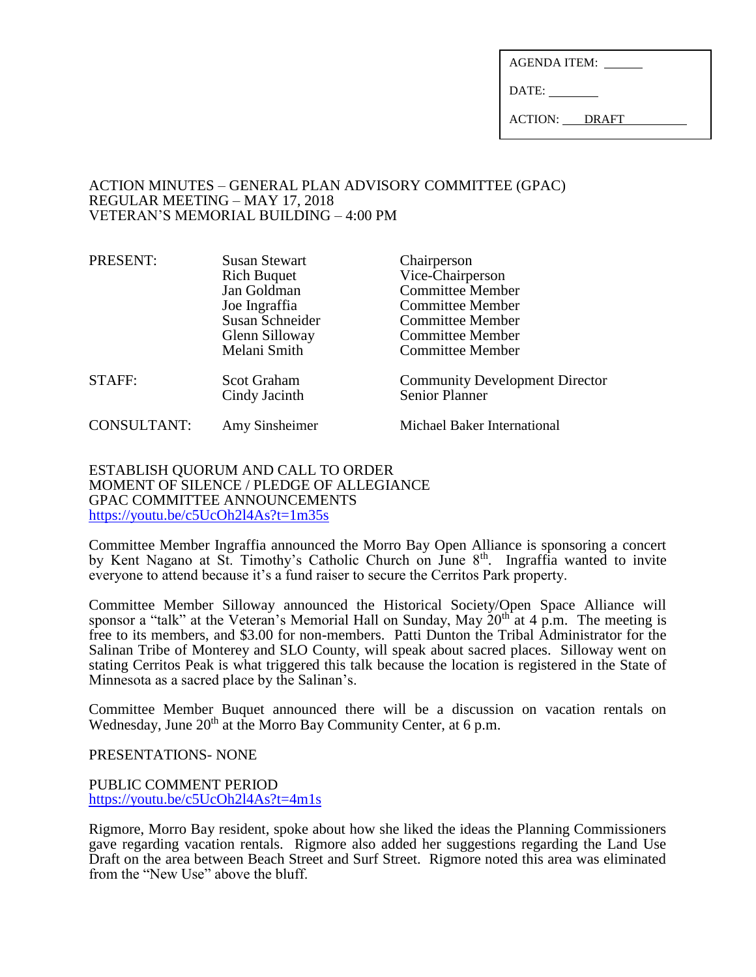| <b>AGENDA ITEM:</b> |  |
|---------------------|--|
|                     |  |

DATE:

ACTION: DRAFT

## ACTION MINUTES – GENERAL PLAN ADVISORY COMMITTEE (GPAC) REGULAR MEETING – MAY 17, 2018 VETERAN'S MEMORIAL BUILDING – 4:00 PM

| PRESENT:           | <b>Susan Stewart</b>                | Chairperson                                                    |
|--------------------|-------------------------------------|----------------------------------------------------------------|
|                    | <b>Rich Buquet</b>                  | Vice-Chairperson                                               |
|                    | Jan Goldman                         | <b>Committee Member</b>                                        |
|                    | Joe Ingraffia                       | <b>Committee Member</b>                                        |
|                    | Susan Schneider                     | <b>Committee Member</b>                                        |
|                    | Glenn Silloway                      | <b>Committee Member</b>                                        |
|                    | Melani Smith                        | <b>Committee Member</b>                                        |
| STAFF:             | <b>Scot Graham</b><br>Cindy Jacinth | <b>Community Development Director</b><br><b>Senior Planner</b> |
| <b>CONSULTANT:</b> | Amy Sinsheimer                      | Michael Baker International                                    |

#### ESTABLISH QUORUM AND CALL TO ORDER MOMENT OF SILENCE / PLEDGE OF ALLEGIANCE GPAC COMMITTEE ANNOUNCEMENTS <https://youtu.be/c5UcOh2l4As?t=1m35s>

Committee Member Ingraffia announced the Morro Bay Open Alliance is sponsoring a concert by Kent Nagano at St. Timothy's Catholic Church on June 8<sup>th</sup>. Ingraffia wanted to invite everyone to attend because it's a fund raiser to secure the Cerritos Park property.

Committee Member Silloway announced the Historical Society/Open Space Alliance will sponsor a "talk" at the Veteran's Memorial Hall on Sunday, May  $20<sup>th</sup>$  at 4 p.m. The meeting is free to its members, and \$3.00 for non-members. Patti Dunton the Tribal Administrator for the Salinan Tribe of Monterey and SLO County, will speak about sacred places. Silloway went on stating Cerritos Peak is what triggered this talk because the location is registered in the State of Minnesota as a sacred place by the Salinan's.

Committee Member Buquet announced there will be a discussion on vacation rentals on Wednesday, June 20<sup>th</sup> at the Morro Bay Community Center, at 6 p.m.

PRESENTATIONS- NONE

PUBLIC COMMENT PERIOD <https://youtu.be/c5UcOh2l4As?t=4m1s>

Rigmore, Morro Bay resident, spoke about how she liked the ideas the Planning Commissioners gave regarding vacation rentals. Rigmore also added her suggestions regarding the Land Use Draft on the area between Beach Street and Surf Street. Rigmore noted this area was eliminated from the "New Use" above the bluff.